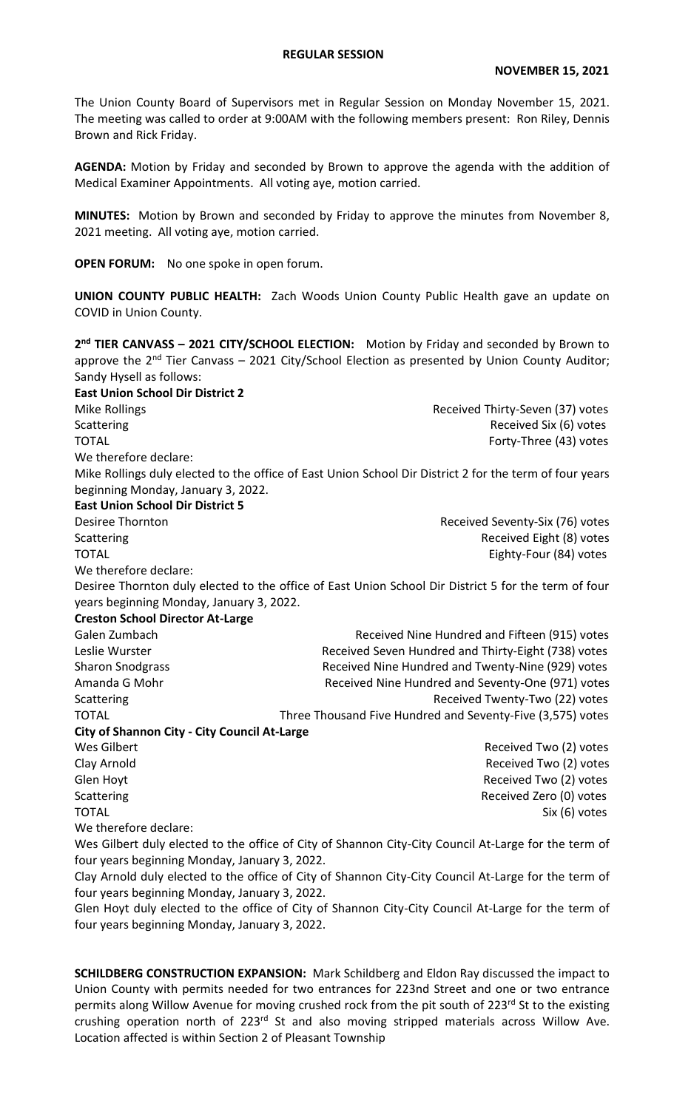## **REGULAR SESSION**

The Union County Board of Supervisors met in Regular Session on Monday November 15, 2021. The meeting was called to order at 9:00AM with the following members present: Ron Riley, Dennis Brown and Rick Friday.

**AGENDA:** Motion by Friday and seconded by Brown to approve the agenda with the addition of Medical Examiner Appointments. All voting aye, motion carried.

**MINUTES:** Motion by Brown and seconded by Friday to approve the minutes from November 8, 2021 meeting. All voting aye, motion carried.

**OPEN FORUM:** No one spoke in open forum.

**UNION COUNTY PUBLIC HEALTH:** Zach Woods Union County Public Health gave an update on COVID in Union County.

**2 nd TIER CANVASS – 2021 CITY/SCHOOL ELECTION:** Motion by Friday and seconded by Brown to approve the  $2<sup>nd</sup>$  Tier Canvass – 2021 City/School Election as presented by Union County Auditor; Sandy Hysell as follows:

**East Union School Dir District 2**  Mike Rollings **Received Thirty-Seven (37)** votes Scattering **Received Six (6)** votes TOTAL Forty-Three (43) votes We therefore declare: Mike Rollings duly elected to the office of East Union School Dir District 2 for the term of four years beginning Monday, January 3, 2022. **East Union School Dir District 5**  Desiree Thornton **Desiree Thornton** Received Seventy-Six (76) votes Scattering **Received Eight (8)** votes TOTAL Eighty-Four (84) votes We therefore declare: Desiree Thornton duly elected to the office of East Union School Dir District 5 for the term of four years beginning Monday, January 3, 2022. **Creston School Director At-Large**  Galen Zumbach **Received Nine Hundred and Fifteen (915)** votes Leslie Wurster **Received Seven Hundred and Thirty-Eight (738)** votes Sharon Snodgrass **Received Nine Hundred and Twenty-Nine (929)** votes Amanda G Mohr **Received Nine Hundred and Seventy-One (971)** votes Scattering **Scattering Received Twenty-Two (22) votes** TOTAL TOTAL TOTAL THREE Thousand Five Hundred and Seventy-Five (3,575) votes **City of Shannon City - City Council At-Large**  Wes Gilbert **Network Community** Contract Community Community Received Two (2) votes Clay Arnold Received Two (2) votes Glen Hoyt **Galaxies** Glen Hoyt **Contract Contract Contract Contract Contract Contract Contract Received Two (2) votes** Scattering **Received Zero (0)** votes TOTAL Six (6) votes We therefore declare: Wes Gilbert duly elected to the office of City of Shannon City-City Council At-Large for the term of four years beginning Monday, January 3, 2022.

Clay Arnold duly elected to the office of City of Shannon City-City Council At-Large for the term of four years beginning Monday, January 3, 2022.

Glen Hoyt duly elected to the office of City of Shannon City-City Council At-Large for the term of four years beginning Monday, January 3, 2022.

**SCHILDBERG CONSTRUCTION EXPANSION:** Mark Schildberg and Eldon Ray discussed the impact to Union County with permits needed for two entrances for 223nd Street and one or two entrance permits along Willow Avenue for moving crushed rock from the pit south of 223rd St to the existing crushing operation north of 223<sup>rd</sup> St and also moving stripped materials across Willow Ave. Location affected is within Section 2 of Pleasant Township